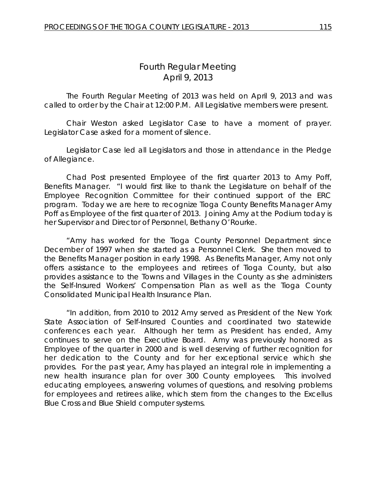# *Fourth Regular Meeting* April 9, 2013

The Fourth Regular Meeting of 2013 was held on April 9, 2013 and was called to order by the Chair at 12:00 P.M. All Legislative members were present.

Chair Weston asked Legislator Case to have a moment of prayer. Legislator Case asked for a moment of silence.

Legislator Case led all Legislators and those in attendance in the Pledge of Allegiance.

Chad Post presented Employee of the first quarter 2013 to Amy Poff, Benefits Manager. "I would first like to thank the Legislature on behalf of the Employee Recognition Committee for their continued support of the ERC program. Today we are here to recognize Tioga County Benefits Manager Amy Poff as Employee of the first quarter of 2013. Joining Amy at the Podium today is her Supervisor and Director of Personnel, Bethany O'Rourke.

"Amy has worked for the Tioga County Personnel Department since December of 1997 when she started as a Personnel Clerk. She then moved to the Benefits Manager position in early 1998. As Benefits Manager, Amy not only offers assistance to the employees and retirees of Tioga County, but also provides assistance to the Towns and Villages in the County as she administers the Self-Insured Workers' Compensation Plan as well as the Tioga County Consolidated Municipal Health Insurance Plan.

"In addition, from 2010 to 2012 Amy served as President of the New York State Association of Self-Insured Counties and coordinated two statewide conferences each year. Although her term as President has ended, Amy continues to serve on the Executive Board. Amy was previously honored as Employee of the quarter in 2000 and is well deserving of further recognition for her dedication to the County and for her exceptional service which she provides. For the past year, Amy has played an integral role in implementing a new health insurance plan for over 300 County employees. This involved educating employees, answering volumes of questions, and resolving problems for employees and retirees alike, which stem from the changes to the Excellus Blue Cross and Blue Shield computer systems.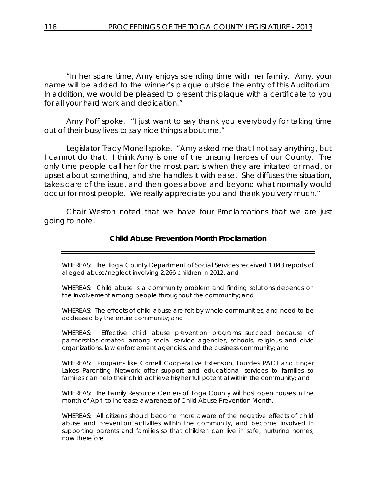"In her spare time, Amy enjoys spending time with her family. Amy, your name will be added to the winner's plaque outside the entry of this Auditorium. In addition, we would be pleased to present this plaque with a certificate to you for all your hard work and dedication."

Amy Poff spoke. "I just want to say thank you everybody for taking time out of their busy lives to say nice things about me."

Legislator Tracy Monell spoke. "Amy asked me that I not say anything, but I cannot do that. I think Amy is one of the unsung heroes of our County. The only time people call her for the most part is when they are irritated or mad, or upset about something, and she handles it with ease. She diffuses the situation, takes care of the issue, and then goes above and beyond what normally would occur for most people. We really appreciate you and thank you very much."

Chair Weston noted that we have four Proclamations that we are just going to note.

### **Child Abuse Prevention Month Proclamation**

WHEREAS: The Tioga County Department of Social Services received 1,043 reports of alleged abuse/neglect involving 2,266 children in 2012; and

WHEREAS: Child abuse is a community problem and finding solutions depends on the involvement among people throughout the community; and

WHEREAS: The effects of child abuse are felt by whole communities, and need to be addressed by the entire community; and

WHEREAS: Effective child abuse prevention programs succeed because of partnerships created among social service agencies, schools, religious and civic organizations, law enforcement agencies, and the business community; and

WHEREAS: Programs like Cornell Cooperative Extension, Lourdes PACT and Finger Lakes Parenting Network offer support and educational services to families so families can help their child achieve his/her full potential within the community; and

WHEREAS: The Family Resource Centers of Tioga County will host open houses in the month of April to increase awareness of Child Abuse Prevention Month.

WHEREAS: All citizens should become more aware of the negative effects of child abuse and prevention activities within the community, and become involved in supporting parents and families so that children can live in safe, nurturing homes; now therefore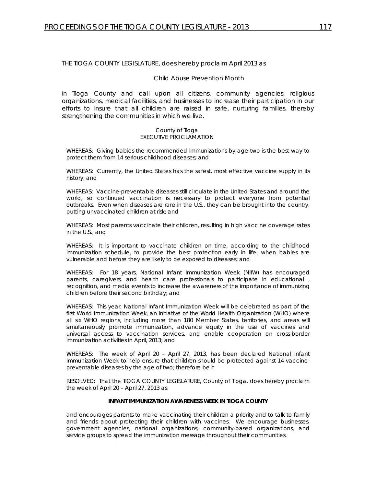### THE TIOGA COUNTY LEGISLATURE, does hereby proclaim April 2013 as

### Child Abuse Prevention Month

in Tioga County and call upon all citizens, community agencies, religious organizations, medical facilities, and businesses to increase their participation in our efforts to insure that all children are raised in safe, nurturing families, thereby strengthening the communities in which we live.

#### County of Tioga EXECUTIVE PROCLAMATION

WHEREAS: Giving babies the recommended immunizations by age two is the best way to protect them from 14 serious childhood diseases; and

WHEREAS: Currently, the United States has the safest, most effective vaccine supply in its history; and

WHEREAS: Vaccine-preventable diseases still circulate in the United States and around the world, so continued vaccination is necessary to protect everyone from potential outbreaks. Even when diseases are rare in the U.S., they can be brought into the country, putting unvaccinated children at risk; and

WHEREAS: Most parents vaccinate their children, resulting in high vaccine coverage rates in the U.S.; and

WHEREAS: It is important to vaccinate children on time, according to the childhood immunization schedule, to provide the best protection early in life, when babies are vulnerable and before they are likely to be exposed to diseases; and

WHEREAS: For 18 years, National Infant Immunization Week (NIIW) has encouraged parents, caregivers, and health care professionals to participate in educational , recognition, and media events to increase the awareness of the importance of immunizing children before their second birthday; and

WHEREAS: This year, National Infant Immunization Week will be celebrated as part of the first World Immunization Week, an initiative of the World Health Organization (WHO) where all six WHO regions, including more than 180 Member States, territories, and areas will simultaneously promote immunization, advance equity in the use of vaccines and universal access to vaccination services, and enable cooperation on cross-border immunization activities in April, 2013; and

WHEREAS: The week of April 20 – April 27, 2013, has been declared National Infant Immunization Week to help ensure that children should be protected against 14 vaccinepreventable diseases by the age of two; therefore be it

RESOLVED: That the TIOGA COUNTY LEGISLATURE, County of Tioga, does hereby proclaim the week of April 20 – April 27, 2013 as:

#### **INFANT IMMUNIZATION AWARENESS WEEK IN TIOGA COUNTY**

and encourages parents to make vaccinating their children a priority and to talk to family and friends about protecting their children with vaccines. We encourage businesses, government agencies, national organizations, community-based organizations, and service groups to spread the immunization message throughout their communities.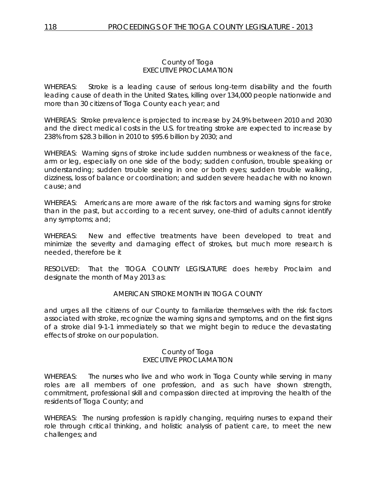### County of Tioga EXECUTIVE PROCLAMATION

WHEREAS: Stroke is a leading cause of serious long-term disability and the fourth leading cause of death in the United States, killing over 134,000 people nationwide and more than 30 citizens of Tioga County each year; and

WHEREAS: Stroke prevalence is projected to increase by 24.9% between 2010 and 2030 and the direct medical costs in the U.S. for treating stroke are expected to increase by 238% from \$28.3 billion in 2010 to \$95.6 billion by 2030; and

WHEREAS: Warning signs of stroke include sudden numbness or weakness of the face, arm or leg, especially on one side of the body; sudden confusion, trouble speaking or understanding; sudden trouble seeing in one or both eyes; sudden trouble walking, dizziness, loss of balance or coordination; and sudden severe headache with no known cause; and

WHEREAS: Americans are more aware of the risk factors and warning signs for stroke than in the past, but according to a recent survey, one-third of adults cannot identify any symptoms; and;

WHEREAS: New and effective treatments have been developed to treat and minimize the severity and damaging effect of strokes, but much more research is needed, therefore be it

RESOLVED: That the TIOGA COUNTY LEGISLATURE does hereby Proclaim and designate the month of May 2013 as:

### AMERICAN STROKE MONTH IN TIOGA COUNTY

and urges all the citizens of our County to familiarize themselves with the risk factors associated with stroke, recognize the warning signs and symptoms, and on the first signs of a stroke dial 9-1-1 immediately so that we might begin to reduce the devastating effects of stroke on our population.

### County of Tioga EXECUTIVE PROCLAMATION

WHEREAS: The nurses who live and who work in Tioga County while serving in many roles are all members of one profession, and as such have shown strength, commitment, professional skill and compassion directed at improving the health of the residents of Tioga County; and

WHEREAS: The nursing profession is rapidly changing, requiring nurses to expand their role through critical thinking, and holistic analysis of patient care, to meet the new challenges; and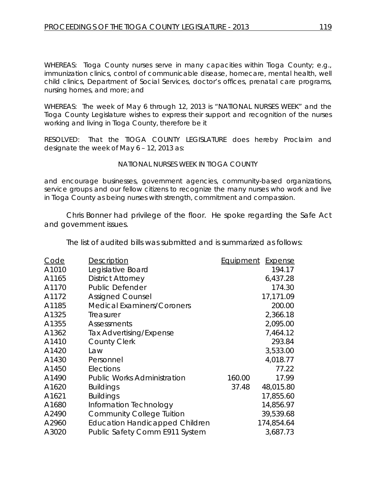WHEREAS: Tioga County nurses serve in many capacities within Tioga County; e.g., immunization clinics, control of communicable disease, homecare, mental health, well child clinics, Department of Social Services, doctor's offices, prenatal care programs, nursing homes, and more; and

WHEREAS: The week of May 6 through 12, 2013 is "NATIONAL NURSES WEEK" and the Tioga County Legislature wishes to express their support and recognition of the nurses working and living in Tioga County, therefore be it

RESOLVED: That the TIOGA COUNTY LEGISLATURE does hereby Proclaim and designate the week of May 6 – 12, 2013 as:

### *NATIONAL NURSES WEEK IN TIOGA COUNTY*

and encourage businesses, government agencies, community-based organizations, service groups and our fellow citizens to recognize the many nurses who work and live in Tioga County as being nurses with strength, commitment and compassion.

Chris Bonner had privilege of the floor. He spoke regarding the Safe Act and government issues.

The list of audited bills was submitted and is summarized as follows:

| Code  | Description                           | Equipment | Expense    |
|-------|---------------------------------------|-----------|------------|
| A1010 | Legislative Board                     |           | 194.17     |
| A1165 | <b>District Attorney</b>              |           | 6,437.28   |
| A1170 | <b>Public Defender</b>                |           | 174.30     |
| A1172 | <b>Assigned Counsel</b>               |           | 17,171.09  |
| A1185 | <b>Medical Examiners/Coroners</b>     |           | 200.00     |
| A1325 | Treasurer                             |           | 2,366.18   |
| A1355 | Assessments                           |           | 2,095.00   |
| A1362 | Tax Advertising/Expense               |           | 7,464.12   |
| A1410 | <b>County Clerk</b>                   |           | 293.84     |
| A1420 | Law                                   |           | 3,533.00   |
| A1430 | Personnel                             |           | 4,018.77   |
| A1450 | Elections                             |           | 77.22      |
| A1490 | <b>Public Works Administration</b>    | 160.00    | 17.99      |
| A1620 | <b>Buildings</b>                      | 37.48     | 48,015.80  |
| A1621 | <b>Buildings</b>                      |           | 17,855.60  |
| A1680 | Information Technology                |           | 14,856.97  |
| A2490 | <b>Community College Tuition</b>      |           | 39,539.68  |
| A2960 | <b>Education Handicapped Children</b> |           | 174,854.64 |
| A3020 | Public Safety Comm E911 System        |           | 3,687.73   |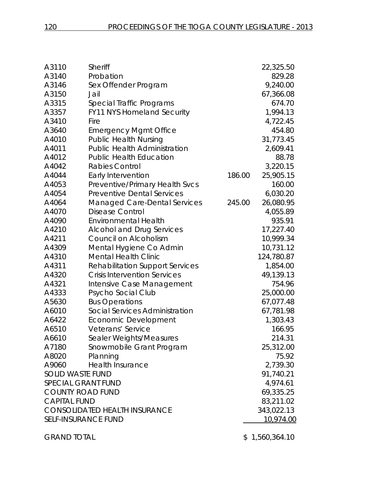| A3110                                | Sheriff                                |            | 22,325.50  |
|--------------------------------------|----------------------------------------|------------|------------|
| A3140                                | Probation                              |            | 829.28     |
| A3146                                | Sex Offender Program                   |            | 9,240.00   |
| A3150                                | Jail                                   |            | 67,366.08  |
| A3315                                | Special Traffic Programs               |            | 674.70     |
| A3357                                | <b>FY11 NYS Homeland Security</b>      |            | 1,994.13   |
| A3410                                | Fire                                   |            | 4,722.45   |
| A3640                                | <b>Emergency Mgmt Office</b>           |            | 454.80     |
| A4010                                | <b>Public Health Nursing</b>           |            | 31,773.45  |
| A4011                                | <b>Public Health Administration</b>    |            | 2,609.41   |
| A4012                                | <b>Public Health Education</b>         |            | 88.78      |
| A4042                                | <b>Rabies Control</b>                  |            | 3,220.15   |
| A4044                                | Early Intervention                     | 186.00     | 25,905.15  |
| A4053                                | Preventive/Primary Health Svcs         |            | 160.00     |
| A4054                                | <b>Preventive Dental Services</b>      |            | 6,030.20   |
| A4064                                | Managed Care-Dental Services           | 245.00     | 26,080.95  |
| A4070                                | <b>Disease Control</b>                 |            | 4,055.89   |
| A4090                                | <b>Environmental Health</b>            |            | 935.91     |
| A4210                                | <b>Alcohol and Drug Services</b>       |            | 17,227.40  |
| A4211                                | Council on Alcoholism                  |            | 10,999.34  |
| A4309                                | Mental Hygiene Co Admin                |            | 10,731.12  |
| A4310                                | <b>Mental Health Clinic</b>            |            | 124,780.87 |
| A4311                                | <b>Rehabilitation Support Services</b> |            | 1,854.00   |
| A4320                                | <b>Crisis Intervention Services</b>    |            | 49,139.13  |
| A4321                                | Intensive Case Management              |            | 754.96     |
| A4333                                | Psycho Social Club                     |            | 25,000.00  |
| A5630                                | <b>Bus Operations</b>                  |            | 67,077.48  |
| A6010                                | Social Services Administration         |            | 67,781.98  |
| A6422                                | <b>Economic Development</b>            |            | 1,303.43   |
| A6510                                | Veterans' Service                      |            | 166.95     |
| A6610                                | Sealer Weights/Measures                |            | 214.31     |
| A7180                                | Snowmobile Grant Program               |            | 25,312.00  |
| A8020                                | Planning                               |            | 75.92      |
| A9060                                | <b>Health Insurance</b>                |            | 2,739.30   |
| <b>SOLID WASTE FUND</b>              |                                        |            | 91,740.21  |
| SPECIAL GRANT FUND                   |                                        |            | 4,974.61   |
| <b>COUNTY ROAD FUND</b>              |                                        |            | 69,335.25  |
| <b>CAPITAL FUND</b>                  |                                        | 83,211.02  |            |
| <b>CONSOLIDATED HEALTH INSURANCE</b> |                                        | 343,022.13 |            |
| <b>SELF-INSURANCE FUND</b>           |                                        |            | 10,974.00  |
|                                      |                                        |            |            |

GRAND TOTAL 6.1,560,364.10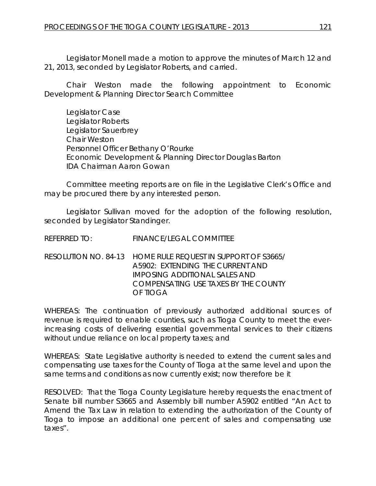Legislator Monell made a motion to approve the minutes of March 12 and 21, 2013, seconded by Legislator Roberts, and carried.

Chair Weston made the following appointment to Economic Development & Planning Director Search Committee

Legislator Case Legislator Roberts Legislator Sauerbrey Chair Weston Personnel Officer Bethany O'Rourke Economic Development & Planning Director Douglas Barton IDA Chairman Aaron Gowan

Committee meeting reports are on file in the Legislative Clerk's Office and may be procured there by any interested person.

Legislator Sullivan moved for the adoption of the following resolution, seconded by Legislator Standinger.

REFERRED TO: FINANCE/LEGAL COMMITTEE

RESOLUTION NO. 84-13 *HOME RULE REQUEST IN SUPPORT OF S3665/ A5902: EXTENDING THE CURRENT AND IMPOSING ADDITIONAL SALES AND COMPENSATING USE TAXES BY THE COUNTY OF TIOGA*

WHEREAS: The continuation of previously authorized additional sources of revenue is required to enable counties, such as Tioga County to meet the everincreasing costs of delivering essential governmental services to their citizens without undue reliance on local property taxes; and

WHEREAS: State Legislative authority is needed to extend the current sales and compensating use taxes for the County of Tioga at the same level and upon the same terms and conditions as now currently exist; now therefore be it

RESOLVED: That the Tioga County Legislature hereby requests the enactment of Senate bill number S3665 and Assembly bill number A5902 entitled "An Act to Amend the Tax Law in relation to extending the authorization of the County of Tioga to impose an additional one percent of sales and compensating use taxes".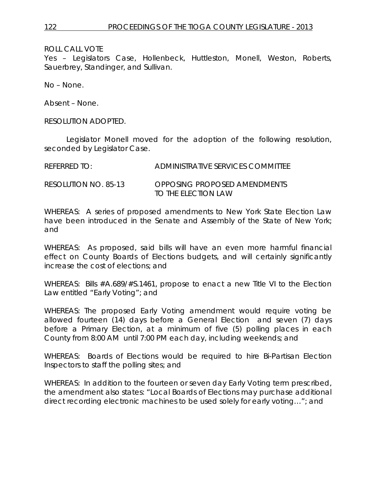Yes – Legislators Case, Hollenbeck, Huttleston, Monell, Weston, Roberts, Sauerbrey, Standinger, and Sullivan.

No – None.

Absent – None.

RESOLUTION ADOPTED.

Legislator Monell moved for the adoption of the following resolution, seconded by Legislator Case.

| REFERRED TO:         | ADMINISTRATIVE SERVICES COMMITTEE                   |
|----------------------|-----------------------------------------------------|
| RESOLUTION NO. 85-13 | OPPOSING PROPOSED AMENDMENTS<br>TO THE ELECTION LAW |

WHEREAS: A series of proposed amendments to New York State Election Law have been introduced in the Senate and Assembly of the State of New York; and

WHEREAS: As proposed, said bills will have an even more harmful financial effect on County Boards of Elections budgets, and will certainly significantly increase the cost of elections; and

WHEREAS: Bills #A.689/#S.1461, propose to enact a new Title VI to the Election Law entitled "Early Voting"; and

WHEREAS: The proposed Early Voting amendment would require voting be allowed fourteen (14) days before a General Election and seven (7) days before a Primary Election, at a minimum of five (5) polling places in each County from 8:00 AM until 7:00 PM each day, including weekends; and

WHEREAS: Boards of Elections would be required to hire Bi-Partisan Election Inspectors to staff the polling sites; and

WHEREAS: In addition to the fourteen or seven day Early Voting term prescribed, the amendment also states: "Local Boards of Elections may purchase additional direct recording electronic machines to be used solely for early voting…"; and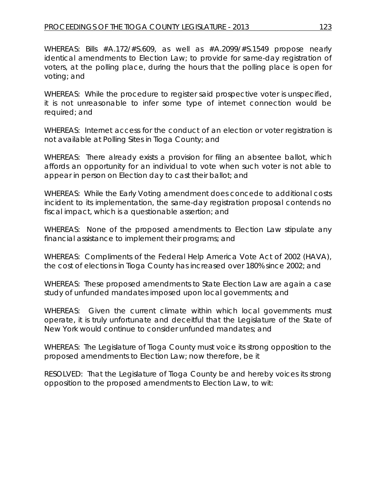WHEREAS: Bills #A.172/#S.609, as well as #A.2099/#S.1549 propose nearly identical amendments to Election Law; to provide for same-day registration of voters, at the polling place, during the hours that the polling place is open for voting; and

WHEREAS: While the procedure to register said prospective voter is unspecified, it is not unreasonable to infer some type of internet connection would be required; and

WHEREAS: Internet access for the conduct of an election or voter registration is not available at Polling Sites in Tioga County; and

WHEREAS: There already exists a provision for filing an absentee ballot, which affords an opportunity for an individual to vote when such voter is not able to appear in person on Election day to cast their ballot; and

WHEREAS: While the Early Voting amendment does concede to additional costs incident to its implementation, the same-day registration proposal contends no fiscal impact, which is a questionable assertion; and

WHEREAS: None of the proposed amendments to Election Law stipulate any financial assistance to implement their programs; and

WHEREAS: Compliments of the Federal Help America Vote Act of 2002 (HAVA), the cost of elections in Tioga County has increased over 180% since 2002; and

WHEREAS: These proposed amendments to State Election Law are again a case study of unfunded mandates imposed upon local governments; and

WHEREAS: Given the current climate within which local governments must operate, it is truly unfortunate and deceitful that the Legislature of the State of New York would continue to consider unfunded mandates; and

WHEREAS: The Legislature of Tioga County must voice its strong opposition to the proposed amendments to Election Law; now therefore, be it

RESOLVED: That the Legislature of Tioga County be and hereby voices its strong opposition to the proposed amendments to Election Law, to wit: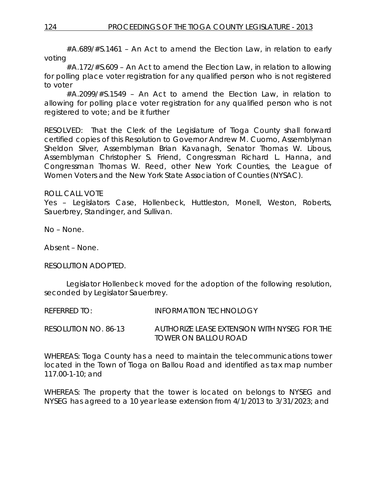#A.689/#S.1461 – An Act to amend the Election Law, in relation to early voting

#A.172/#S.609 – An Act to amend the Election Law, in relation to allowing for polling place voter registration for any qualified person who is not registered to voter

#A.2099/#S.1549 – An Act to amend the Election Law, in relation to allowing for polling place voter registration for any qualified person who is not registered to vote; and be it further

RESOLVED: That the Clerk of the Legislature of Tioga County shall forward certified copies of this Resolution to Governor Andrew M. Cuomo, Assemblyman Sheldon Silver, Assemblyman Brian Kavanagh, Senator Thomas W. Libous, Assemblyman Christopher S. Friend, Congressman Richard L. Hanna, and Congressman Thomas W. Reed, other New York Counties, the League of Women Voters and the New York State Association of Counties (NYSAC).

### ROLL CALL VOTE

Yes – Legislators Case, Hollenbeck, Huttleston, Monell, Weston, Roberts, Sauerbrey, Standinger, and Sullivan.

No – None.

Absent – None.

RESOLUTION ADOPTED.

Legislator Hollenbeck moved for the adoption of the following resolution, seconded by Legislator Sauerbrey.

REFERRED TO: **INFORMATION TECHNOLOGY** 

RESOLUTION NO. 86-13 *AUTHORIZE LEASE EXTENSION WITH NYSEG FOR THE TOWER ON BALLOU ROAD*

WHEREAS: Tioga County has a need to maintain the telecommunications tower located in the Town of Tioga on Ballou Road and identified as tax map number 117.00-1-10; and

WHEREAS: The property that the tower is located on belongs to NYSEG and NYSEG has agreed to a 10 year lease extension from 4/1/2013 to 3/31/2023; and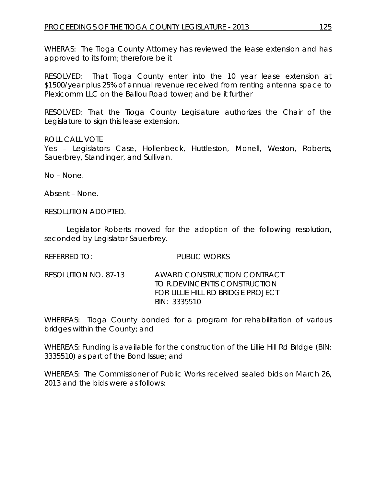WHERAS: The Tioga County Attorney has reviewed the lease extension and has approved to its form; therefore be it

RESOLVED: That Tioga County enter into the 10 year lease extension at \$1500/year plus 25% of annual revenue received from renting antenna space to Plexicomm LLC on the Ballou Road tower; and be it further

RESOLVED: That the Tioga County Legislature authorizes the Chair of the Legislature to sign this lease extension.

ROLL CALL VOTE

Yes – Legislators Case, Hollenbeck, Huttleston, Monell, Weston, Roberts, Sauerbrey, Standinger, and Sullivan.

No – None.

Absent – None.

RESOLUTION ADOPTED.

Legislator Roberts moved for the adoption of the following resolution, seconded by Legislator Sauerbrey.

REFERRED TO: PUBLIC WORKS

RESOLUTION NO. 87-13 *AWARD CONSTRUCTION CONTRACT TO R.DEVINCENTIS CONSTRUCTION FOR LILLIE HILL RD BRIDGE PROJECT BIN: 3335510*

WHEREAS: Tioga County bonded for a program for rehabilitation of various bridges within the County; and

WHEREAS: Funding is available for the construction of the Lillie Hill Rd Bridge (BIN: 3335510) as part of the Bond Issue; and

WHEREAS: The Commissioner of Public Works received sealed bids on March 26, 2013 and the bids were as follows: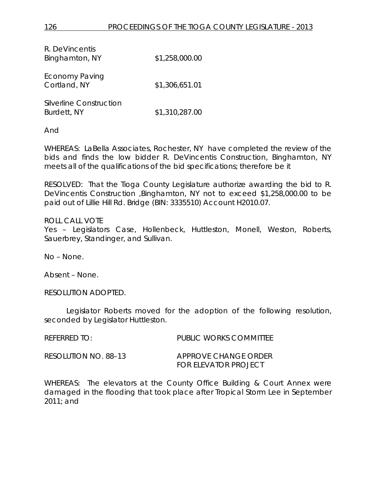| R. DeVincentis<br>Binghamton, NY       | \$1,258,000.00 |
|----------------------------------------|----------------|
| <b>Economy Paving</b><br>Cortland, NY  | \$1,306,651.01 |
| Silverline Construction<br>Burdett, NY | \$1,310,287.00 |

And

WHEREAS: LaBella Associates, Rochester, NY have completed the review of the bids and finds the low bidder R. DeVincentis Construction, Binghamton, NY meets all of the qualifications of the bid specifications; therefore be it

RESOLVED: That the Tioga County Legislature authorize awarding the bid to R. DeVincentis Construction ,Binghamton, NY not to exceed \$1,258,000.00 to be paid out of Lillie Hill Rd. Bridge (BIN: 3335510) Account H2010.07.

ROLL CALL VOTE Yes - Legislators Case, Hollenbeck, Huttleston, Monell, Weston, Roberts, Sauerbrey, Standinger, and Sullivan.

No – None.

Absent – None.

RESOLUTION ADOPTED.

Legislator Roberts moved for the adoption of the following resolution, seconded by Legislator Huttleston.

| REFERRED TO:         | PUBLIC WORKS COMMITTEE      |
|----------------------|-----------------------------|
| RESOLUTION NO. 88–13 | APPROVE CHANGE ORDER        |
|                      | <b>FOR ELEVATOR PROJECT</b> |

WHEREAS: The elevators at the County Office Building & Court Annex were damaged in the flooding that took place after Tropical Storm Lee in September 2011; and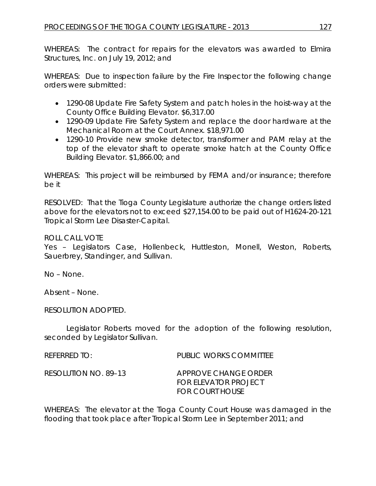WHEREAS: The contract for repairs for the elevators was awarded to Elmira Structures, Inc. on July 19, 2012; and

WHEREAS: Due to inspection failure by the Fire Inspector the following change orders were submitted:

- 1290-08 Update Fire Safety System and patch holes in the hoist-way at the County Office Building Elevator. \$6,317.00
- 1290-09 Update Fire Safety System and replace the door hardware at the Mechanical Room at the Court Annex. \$18,971.00
- 1290-10 Provide new smoke detector, transformer and PAM relay at the top of the elevator shaft to operate smoke hatch at the County Office Building Elevator. \$1,866.00; and

WHEREAS: This project will be reimbursed by FEMA and/or insurance; therefore be it

RESOLVED: That the Tioga County Legislature authorize the change orders listed above for the elevators not to exceed \$27,154.00 to be paid out of H1624-20-121 Tropical Storm Lee Disaster-Capital.

ROLL CALL VOTE

Yes – Legislators Case, Hollenbeck, Huttleston, Monell, Weston, Roberts, Sauerbrey, Standinger, and Sullivan.

No – None.

Absent – None.

RESOLUTION ADOPTED.

Legislator Roberts moved for the adoption of the following resolution, seconded by Legislator Sullivan.

| $R$ FFFRRFD TO:      | PUBLIC WORKS COMMITTEE                                                        |
|----------------------|-------------------------------------------------------------------------------|
| RESOLUTION NO. 89–13 | APPROVE CHANGE ORDER<br><b>FOR ELEVATOR PROJECT</b><br><b>FOR COURT HOUSE</b> |

WHEREAS: The elevator at the Tioga County Court House was damaged in the flooding that took place after Tropical Storm Lee in September 2011; and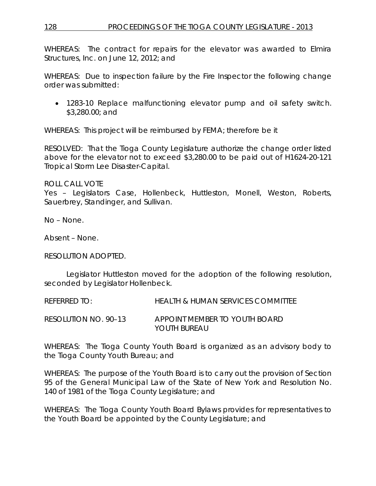WHEREAS: The contract for repairs for the elevator was awarded to Elmira Structures, Inc. on June 12, 2012; and

WHEREAS: Due to inspection failure by the Fire Inspector the following change order was submitted:

• 1283-10 Replace malfunctioning elevator pump and oil safety switch. \$3,280.00; and

WHEREAS: This project will be reimbursed by FEMA; therefore be it

RESOLVED: That the Tioga County Legislature authorize the change order listed above for the elevator not to exceed \$3,280.00 to be paid out of H1624-20-121 Tropical Storm Lee Disaster-Capital.

ROLL CALL VOTE

Yes – Legislators Case, Hollenbeck, Huttleston, Monell, Weston, Roberts, Sauerbrey, Standinger, and Sullivan.

No – None.

Absent – None.

RESOLUTION ADOPTED.

Legislator Huttleston moved for the adoption of the following resolution, seconded by Legislator Hollenbeck.

REFERRED TO: HEALTH & HUMAN SERVICES COMMITTEE

RESOLUTION NO. 90–13 *APPOINT MEMBER TO YOUTH BOARD YOUTH BUREAU*

WHEREAS: The Tioga County Youth Board is organized as an advisory body to the Tioga County Youth Bureau; and

WHEREAS: The purpose of the Youth Board is to carry out the provision of Section 95 of the General Municipal Law of the State of New York and Resolution No. 140 of 1981 of the Tioga County Legislature; and

WHEREAS: The Tioga County Youth Board Bylaws provides for representatives to the Youth Board be appointed by the County Legislature; and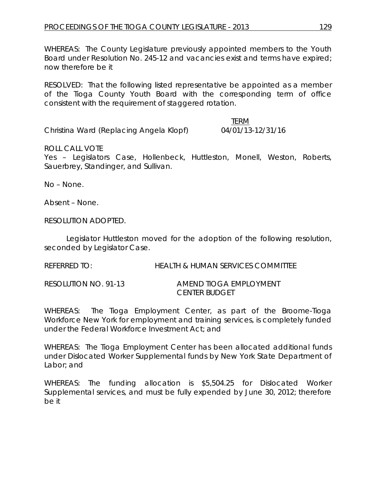WHEREAS: The County Legislature previously appointed members to the Youth Board under Resolution No. 245-12 and vacancies exist and terms have expired; now therefore be it

RESOLVED: That the following listed representative be appointed as a member of the Tioga County Youth Board with the corresponding term of office consistent with the requirement of staggered rotation.

Christina Ward (Replacing Angela Klopf) 04/01/13-12/31/16

TERM

ROLL CALL VOTE

Yes – Legislators Case, Hollenbeck, Huttleston, Monell, Weston, Roberts, Sauerbrey, Standinger, and Sullivan.

No – None.

Absent – None.

RESOLUTION ADOPTED.

Legislator Huttleston moved for the adoption of the following resolution, seconded by Legislator Case.

REFERRED TO: HEALTH & HUMAN SERVICES COMMITTEE

RESOLUTION NO. 91-13 *AMEND TIOGA EMPLOYMENT CENTER BUDGET*

WHEREAS: The Tioga Employment Center, as part of the Broome-Tioga Workforce New York for employment and training services, is completely funded under the Federal Workforce Investment Act; and

WHEREAS: The Tioga Employment Center has been allocated additional funds under Dislocated Worker Supplemental funds by New York State Department of Labor; and

WHEREAS: The funding allocation is \$5,504.25 for Dislocated Worker Supplemental services, and must be fully expended by June 30, 2012; therefore be it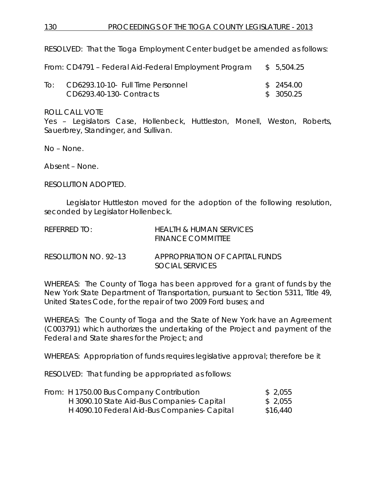RESOLVED: That the Tioga Employment Center budget be amended as follows:

|     | From: CD4791 – Federal Aid-Federal Employment Program | \$ 5,504.25 |
|-----|-------------------------------------------------------|-------------|
| TO: | CD6293.10-10- Full Time Personnel                     | \$ 2454.00  |
|     | CD6293.40-130- Contracts                              | \$ 3050.25  |

ROLL CALL VOTE

Yes – Legislators Case, Hollenbeck, Huttleston, Monell, Weston, Roberts, Sauerbrey, Standinger, and Sullivan.

No – None.

Absent – None.

RESOLUTION ADOPTED.

Legislator Huttleston moved for the adoption of the following resolution, seconded by Legislator Hollenbeck.

| REFERRED TO: | HEALTH & HUMAN SERVICES  |
|--------------|--------------------------|
|              | <b>FINANCE COMMITTEE</b> |

RESOLUTION NO. 92–13 *APPROPRIATION OF CAPITAL FUNDS SOCIAL SERVICES*

WHEREAS: The County of Tioga has been approved for a grant of funds by the New York State Department of Transportation, pursuant to Section 5311, Title 49, United States Code, for the repair of two 2009 Ford buses; and

WHEREAS: The County of Tioga and the State of New York have an Agreement (C003791) which authorizes the undertaking of the Project and payment of the Federal and State shares for the Project; and

WHEREAS: Appropriation of funds requires legislative approval; therefore be it

RESOLVED: That funding be appropriated as follows:

| From: H 1750.00 Bus Company Contribution     | \$2,055  |
|----------------------------------------------|----------|
| H 3090.10 State Aid-Bus Companies- Capital   | \$2,055  |
| H 4090.10 Federal Aid-Bus Companies- Capital | \$16,440 |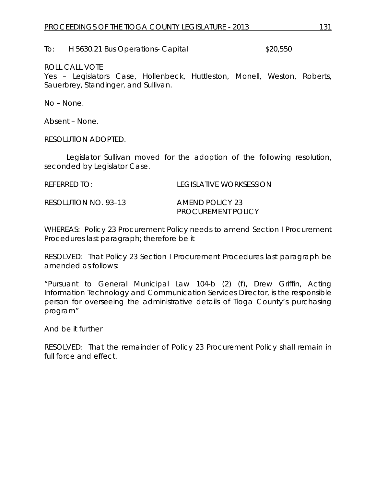To: H 5630.21 Bus Operations- Capital  $$20,550$ 

## ROLL CALL VOTE

Yes – Legislators Case, Hollenbeck, Huttleston, Monell, Weston, Roberts, Sauerbrey, Standinger, and Sullivan.

No – None.

Absent – None.

RESOLUTION ADOPTED.

Legislator Sullivan moved for the adoption of the following resolution, seconded by Legislator Case.

REFERRED TO: LEGISLATIVE WORKSESSION

RESOLUTION NO. 93–13 *AMEND POLICY 23*

*PROCUREMENT POLICY*

WHEREAS: Policy 23 Procurement Policy needs to amend Section I Procurement Procedures last paragraph; therefore be it

RESOLVED: That Policy 23 Section I Procurement Procedures last paragraph be amended as follows:

"Pursuant to General Municipal Law 104-b (2) (f), Drew Griffin, Acting Information Technology and Communication Services Director, is the responsible person for overseeing the administrative details of Tioga County's purchasing program"

And be it further

RESOLVED: That the remainder of Policy 23 Procurement Policy shall remain in full force and effect.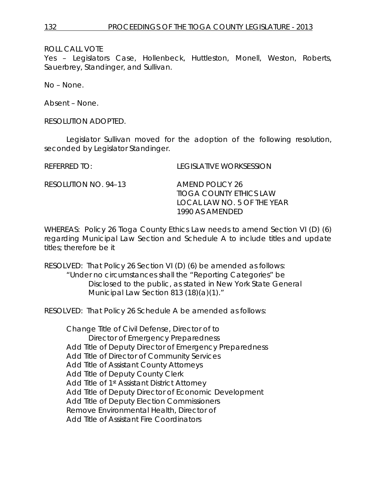Yes – Legislators Case, Hollenbeck, Huttleston, Monell, Weston, Roberts, Sauerbrey, Standinger, and Sullivan.

No – None.

Absent – None.

RESOLUTION ADOPTED.

Legislator Sullivan moved for the adoption of the following resolution, seconded by Legislator Standinger.

REFERRED TO: LEGISLATIVE WORKSESSION

RESOLUTION NO. 94–13 *AMEND POLICY 26*

*TIOGA COUNTY ETHICS LAW LOCAL LAW NO. 5 OF THE YEAR 1990 AS AMENDED*

WHEREAS: Policy 26 Tioga County Ethics Law needs to amend Section VI (D) (6) regarding Municipal Law Section and Schedule A to include titles and update titles; therefore be it

RESOLVED: That Policy 26 Section VI (D) (6) be amended as follows: "Under no circumstances shall the "Reporting Categories" be Disclosed to the public, as stated in New York State General Municipal Law Section 813 (18)(a)(1)."

RESOLVED: That Policy 26 Schedule A be amended as follows:

Change Title of Civil Defense, Director of to Director of Emergency Preparedness Add Title of Deputy Director of Emergency Preparedness Add Title of Director of Community Services Add Title of Assistant County Attorneys Add Title of Deputy County Clerk Add Title of 1st Assistant District Attorney Add Title of Deputy Director of Economic Development Add Title of Deputy Election Commissioners Remove Environmental Health, Director of Add Title of Assistant Fire Coordinators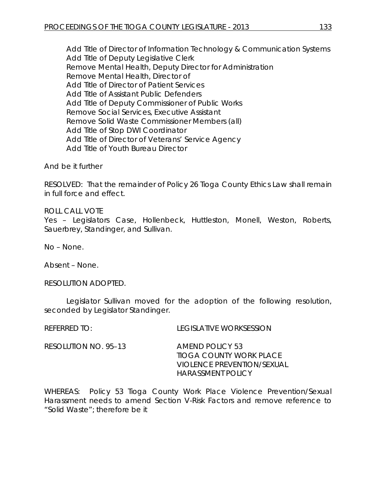Add Title of Director of Information Technology & Communication Systems Add Title of Deputy Legislative Clerk Remove Mental Health, Deputy Director for Administration Remove Mental Health, Director of Add Title of Director of Patient Services Add Title of Assistant Public Defenders Add Title of Deputy Commissioner of Public Works Remove Social Services, Executive Assistant Remove Solid Waste Commissioner Members (all) Add Title of Stop DWI Coordinator Add Title of Director of Veterans' Service Agency Add Title of Youth Bureau Director

And be it further

RESOLVED: That the remainder of Policy 26 Tioga County Ethics Law shall remain in full force and effect.

ROLL CALL VOTE Yes – Legislators Case, Hollenbeck, Huttleston, Monell, Weston, Roberts, Sauerbrey, Standinger, and Sullivan.

No – None.

Absent – None.

RESOLUTION ADOPTED.

Legislator Sullivan moved for the adoption of the following resolution, seconded by Legislator Standinger.

REFERRED TO: LEGISLATIVE WORKSESSION

RESOLUTION NO. 95–13 *AMEND POLICY 53 TIOGA COUNTY WORK PLACE VIOLENCE PREVENTION/SEXUAL HARASSMENT POLICY*

WHEREAS: Policy 53 Tioga County Work Place Violence Prevention/Sexual Harassment needs to amend Section V-Risk Factors and remove reference to "Solid Waste"; therefore be it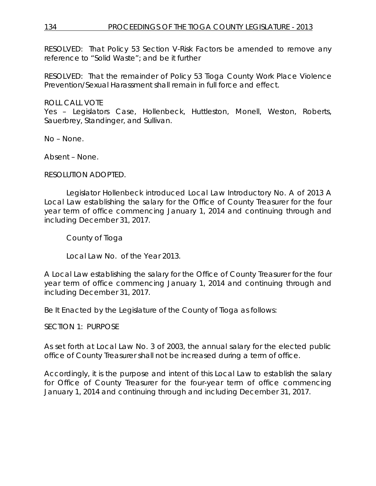## 134 PROCEEDINGS OF THE TIOGA COUNTY LEGISLATURE - 2013

RESOLVED: That Policy 53 Section V-Risk Factors be amended to remove any reference to "Solid Waste"; and be it further

RESOLVED: That the remainder of Policy 53 Tioga County Work Place Violence Prevention/Sexual Harassment shall remain in full force and effect.

ROLL CALL VOTE

Yes – Legislators Case, Hollenbeck, Huttleston, Monell, Weston, Roberts, Sauerbrey, Standinger, and Sullivan.

No – None.

Absent – None.

RESOLUTION ADOPTED.

Legislator Hollenbeck introduced Local Law Introductory No. A of 2013 A Local Law establishing the salary for the Office of County Treasurer for the four year term of office commencing January 1, 2014 and continuing through and including December 31, 2017.

County of Tioga

Local Law No. of the Year 2013.

A Local Law establishing the salary for the Office of County Treasurer for the four year term of office commencing January 1, 2014 and continuing through and including December 31, 2017.

Be It Enacted by the Legislature of the County of Tioga as follows:

SECTION 1: PURPOSE

As set forth at Local Law No. 3 of 2003, the annual salary for the elected public office of County Treasurer shall not be increased during a term of office.

Accordingly, it is the purpose and intent of this Local Law to establish the salary for Office of County Treasurer for the four-year term of office commencing January 1, 2014 and continuing through and including December 31, 2017.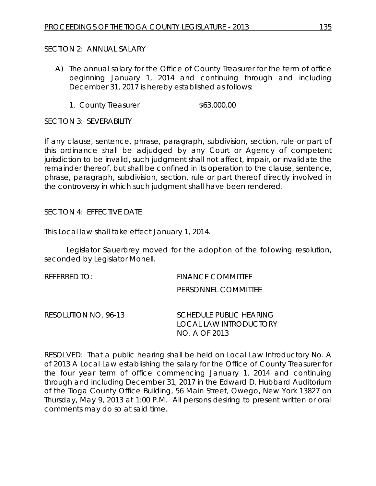## SECTION 2: ANNUAL SALARY

- A) The annual salary for the Office of County Treasurer for the term of office beginning January 1, 2014 and continuing through and including December 31, 2017 is hereby established as follows:
	- 1. County Treasurer  $$63,000.00$

SECTION 3: SEVERABILITY

If any clause, sentence, phrase, paragraph, subdivision, section, rule or part of this ordinance shall be adjudged by any Court or Agency of competent jurisdiction to be invalid, such judgment shall not affect, impair, or invalidate the remainder thereof, but shall be confined in its operation to the clause, sentence, phrase, paragraph, subdivision, section, rule or part thereof directly involved in the controversy in which such judgment shall have been rendered.

## SECTION 4: EFFECTIVE DATE

This Local law shall take effect January 1, 2014.

Legislator Sauerbrey moved for the adoption of the following resolution, seconded by Legislator Monell.

REFERRED TO: FINANCE COMMITTEE PERSONNEL COMMITTEE

RESOLUTION NO. 96-13 *SCHEDULE PUBLIC HEARING LOCAL LAW INTRODUCTORY NO. A OF 2013*

RESOLVED: That a public hearing shall be held on Local Law Introductory No. A of 2013 A Local Law establishing the salary for the Office of County Treasurer for the four year term of office commencing January 1, 2014 and continuing through and including December 31, 2017 in the Edward D. Hubbard Auditorium of the Tioga County Office Building, 56 Main Street, Owego, New York 13827 on Thursday, May 9, 2013 at 1:00 P.M. All persons desiring to present written or oral comments may do so at said time.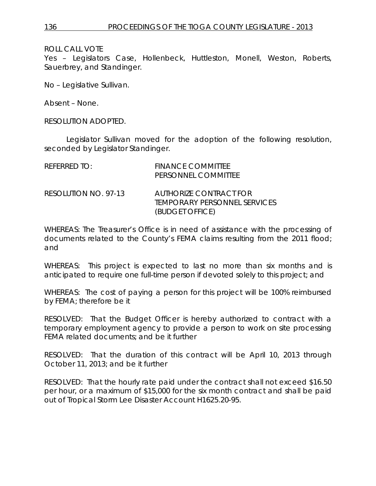Yes – Legislators Case, Hollenbeck, Huttleston, Monell, Weston, Roberts, Sauerbrey, and Standinger.

No – Legislative Sullivan.

Absent – None.

RESOLUTION ADOPTED.

Legislator Sullivan moved for the adoption of the following resolution, seconded by Legislator Standinger.

| REFERRED TO:         | <b>FINANCE COMMITTEE</b><br>PERSONNEL COMMITTEE                                  |
|----------------------|----------------------------------------------------------------------------------|
| RESOLUTION NO. 97-13 | AUTHORIZE CONTRACT FOR<br><i>TEMPORARY PERSONNEL SERVICES</i><br>(BUDGET OFFICE) |

WHEREAS: The Treasurer's Office is in need of assistance with the processing of documents related to the County's FEMA claims resulting from the 2011 flood; and

WHEREAS: This project is expected to last no more than six months and is anticipated to require one full-time person if devoted solely to this project; and

WHEREAS: The cost of paying a person for this project will be 100% reimbursed by FEMA; therefore be it

RESOLVED: That the Budget Officer is hereby authorized to contract with a temporary employment agency to provide a person to work on site processing FEMA related documents; and be it further

RESOLVED: That the duration of this contract will be April 10, 2013 through October 11, 2013; and be it further

RESOLVED: That the hourly rate paid under the contract shall not exceed \$16.50 per hour, or a maximum of \$15,000 for the six month contract and shall be paid out of Tropical Storm Lee Disaster Account H1625.20-95.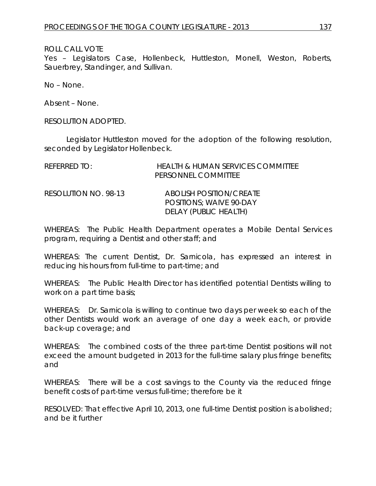Yes – Legislators Case, Hollenbeck, Huttleston, Monell, Weston, Roberts, Sauerbrey, Standinger, and Sullivan.

No – None.

Absent – None.

RESOLUTION ADOPTED.

Legislator Huttleston moved for the adoption of the following resolution, seconded by Legislator Hollenbeck.

| $R$ FFFRRFD TO:      | <b>HEALTH &amp; HUMAN SERVICES COMMITTEE</b><br>PERSONNEL COMMITTEE                |
|----------------------|------------------------------------------------------------------------------------|
| RESOLUTION NO. 98-13 | ABOLISH POSITION/CREATE<br><b>POSITIONS: WAIVE 90-DAY</b><br>DELAY (PUBLIC HEALTH) |

WHEREAS: The Public Health Department operates a Mobile Dental Services program, requiring a Dentist and other staff; and

WHEREAS: The current Dentist, Dr. Sarnicola, has expressed an interest in reducing his hours from full-time to part-time; and

WHEREAS: The Public Health Director has identified potential Dentists willing to work on a part time basis;

WHEREAS: Dr. Sarnicola is willing to continue two days per week so each of the other Dentists would work an average of one day a week each, or provide back-up coverage; and

WHEREAS: The combined costs of the three part-time Dentist positions will not exceed the amount budgeted in 2013 for the full-time salary plus fringe benefits; and

WHEREAS: There will be a cost savings to the County via the reduced fringe benefit costs of part-time versus full-time; therefore be it

RESOLVED: That effective April 10, 2013, one full-time Dentist position is abolished; and be it further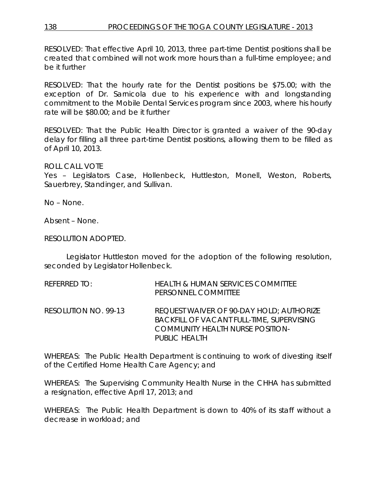RESOLVED: That effective April 10, 2013, three part-time Dentist positions shall be created that combined will not work more hours than a full-time employee; and be it further

RESOLVED: That the hourly rate for the Dentist positions be \$75.00; with the exception of Dr. Sarnicola due to his experience with and longstanding commitment to the Mobile Dental Services program since 2003, where his hourly rate will be \$80.00; and be it further

RESOLVED: That the Public Health Director is granted a waiver of the 90-day delay for filling all three part-time Dentist positions, allowing them to be filled as of April 10, 2013.

ROLL CALL VOTE

Yes – Legislators Case, Hollenbeck, Huttleston, Monell, Weston, Roberts, Sauerbrey, Standinger, and Sullivan.

No – None.

Absent – None.

RESOLUTION ADOPTED.

Legislator Huttleston moved for the adoption of the following resolution, seconded by Legislator Hollenbeck.

| referred to:         | HEALTH & HUMAN SERVICES COMMITTEE<br>PERSONNEL COMMITTEE                                                                                          |
|----------------------|---------------------------------------------------------------------------------------------------------------------------------------------------|
| RESOLUTION NO. 99-13 | REQUEST WAIVER OF 90-DAY HOLD; AUTHORIZE<br>BACKFILL OF VACANT FULL-TIME, SUPERVISING<br><b>COMMUNITY HEALTH NURSE POSITION-</b><br>PUBLIC HEALTH |

WHEREAS: The Public Health Department is continuing to work of divesting itself of the Certified Home Health Care Agency; and

WHEREAS: The Supervising Community Health Nurse in the CHHA has submitted a resignation, effective April 17, 2013; and

WHEREAS: The Public Health Department is down to 40% of its staff without a decrease in workload; and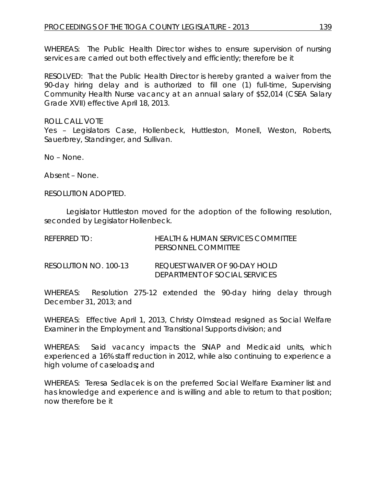WHEREAS: The Public Health Director wishes to ensure supervision of nursing services are carried out both effectively and efficiently; therefore be it

RESOLVED: That the Public Health Director is hereby granted a waiver from the 90-day hiring delay and is authorized to fill one (1) full-time, Supervising Community Health Nurse vacancy at an annual salary of \$52,014 (CSEA Salary Grade XVII) effective April 18, 2013.

ROLL CALL VOTE Yes – Legislators Case, Hollenbeck, Huttleston, Monell, Weston, Roberts, Sauerbrey, Standinger, and Sullivan.

No – None.

Absent – None.

RESOLUTION ADOPTED.

Legislator Huttleston moved for the adoption of the following resolution, seconded by Legislator Hollenbeck.

| $R$ FFFRRFD T $O_1$   | <b>HEALTH &amp; HUMAN SERVICES COMMITTEE</b><br>PERSONNEL COMMITTEE |
|-----------------------|---------------------------------------------------------------------|
| RESOLUTION NO. 100-13 | REQUEST WAIVER OF 90-DAY HOLD<br>DEPARIMENT OF SOCIAL SERVICES      |

WHEREAS: Resolution 275-12 extended the 90-day hiring delay through December 31, 2013; and

WHEREAS: Effective April 1, 2013, Christy Olmstead resigned as Social Welfare Examiner in the Employment and Transitional Supports division; and

WHEREAS: Said vacancy impacts the SNAP and Medicaid units, which experienced a 16% staff reduction in 2012, while also continuing to experience a high volume of caseloads**;** and

WHEREAS: Teresa Sedlacek is on the preferred Social Welfare Examiner list and has knowledge and experience and is willing and able to return to that position; now therefore be it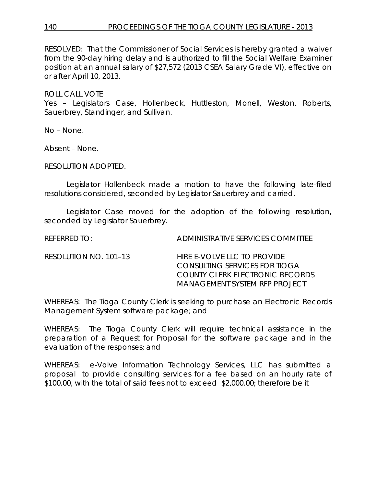# 140 PROCEEDINGS OF THE TIOGA COUNTY LEGISLATURE - 2013

RESOLVED:That the Commissioner of Social Services is hereby granted a waiver from the 90-day hiring delay and is authorized to fill the Social Welfare Examiner position at an annual salary of \$27,572 (2013 CSEA Salary Grade VI), effective on or after April 10, 2013.

ROLL CALL VOTE

Yes – Legislators Case, Hollenbeck, Huttleston, Monell, Weston, Roberts, Sauerbrey, Standinger, and Sullivan.

No – None.

Absent – None.

RESOLUTION ADOPTED.

Legislator Hollenbeck made a motion to have the following late-filed resolutions considered, seconded by Legislator Sauerbrey and carried.

Legislator Case moved for the adoption of the following resolution, seconded by Legislator Sauerbrey.

REFERRED TO: ADMINISTRATIVE SERVICES COMMITTEE

| RESOLUTION NO. 101–13 | HIRE E-VOLVE LLC TO PROVIDE     |
|-----------------------|---------------------------------|
|                       | CONSULTING SERVICES FOR TIOGA   |
|                       | COUNTY CLERK ELECTRONIC RECORDS |
|                       | MANAGEMENT SYSTEM RFP PROJECT   |

WHEREAS: The Tioga County Clerk is seeking to purchase an Electronic Records Management System software package; and

WHEREAS: The Tioga County Clerk will require technical assistance in the preparation of a Request for Proposal for the software package and in the evaluation of the responses; and

WHEREAS: e-Volve Information Technology Services, LLC has submitted a proposal to provide consulting services for a fee based on an hourly rate of \$100.00, with the total of said fees not to exceed \$2,000.00; therefore be it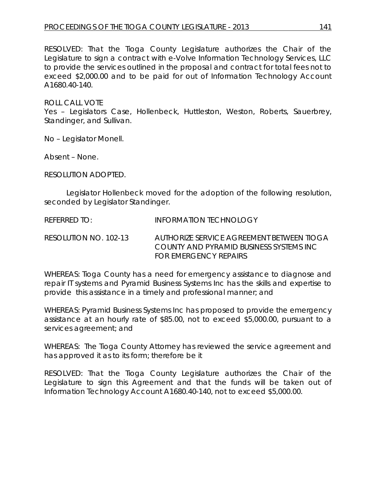RESOLVED: That the Tioga County Legislature authorizes the Chair of the Legislature to sign a contract with e-Volve Information Technology Services, LLC to provide the services outlined in the proposal and contract for total fees not to exceed \$2,000.00 and to be paid for out of Information Technology Account A1680.40-140.

ROLL CALL VOTE

Yes – Legislators Case, Hollenbeck, Huttleston, Weston, Roberts, Sauerbrey, Standinger, and Sullivan.

No – Legislator Monell.

Absent – None.

RESOLUTION ADOPTED.

Legislator Hollenbeck moved for the adoption of the following resolution, seconded by Legislator Standinger.

REFERRED TO: **INFORMATION TECHNOLOGY** 

RESOLUTION NO. 102-13 *AUTHORIZE SERVICE AGREEMENT BETWEEN TIOGA COUNTY AND PYRAMID BUSINESS SYSTEMS INC FOR EMERGENCY REPAIRS* 

WHEREAS: Tioga County has a need for emergency assistance to diagnose and repair IT systems and Pyramid Business Systems Inc has the skills and expertise to provide this assistance in a timely and professional manner; and

WHEREAS: Pyramid Business Systems Inc has proposed to provide the emergency assistance at an hourly rate of \$85.00, not to exceed \$5,000.00, pursuant to a services agreement; and

WHEREAS: The Tioga County Attorney has reviewed the service agreement and has approved it as to its form; therefore be it

RESOLVED: That the Tioga County Legislature authorizes the Chair of the Legislature to sign this Agreement and that the funds will be taken out of Information Technology Account A1680.40-140, not to exceed \$5,000.00.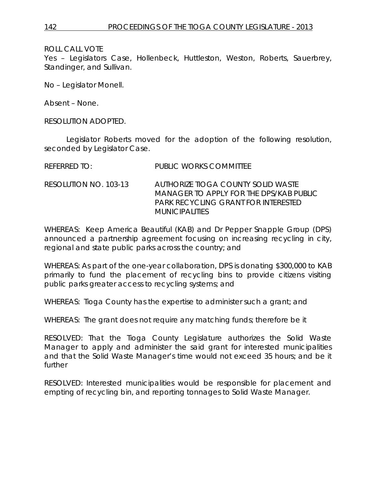Yes – Legislators Case, Hollenbeck, Huttleston, Weston, Roberts, Sauerbrey, Standinger, and Sullivan.

No – Legislator Monell.

Absent – None.

RESOLUTION ADOPTED.

Legislator Roberts moved for the adoption of the following resolution, seconded by Legislator Case.

| REFERRED TO:          | PUBLIC WORKS COMMITTEE                                                                                                                        |
|-----------------------|-----------------------------------------------------------------------------------------------------------------------------------------------|
| RESOLUTION NO. 103-13 | AUTHORIZE TIOGA COUNTY SOLID WASTE<br>MANAGER TO APPLY FOR THE DPS/KAB PUBLIC<br>PARK RECYCLING GRANT FOR INTERESTED<br><i>MUNICIPALITIES</i> |

WHEREAS: Keep America Beautiful (KAB) and Dr Pepper Snapple Group (DPS) announced a partnership agreement focusing on increasing recycling in city, regional and state public parks across the country; and

WHEREAS: As part of the one-year collaboration, DPS is donating \$300,000 to KAB primarily to fund the placement of recycling bins to provide citizens visiting public parks greater access to recycling systems; and

WHEREAS: Tioga County has the expertise to administer such a grant; and

WHEREAS: The grant does not require any matching funds; therefore be it

RESOLVED: That the Tioga County Legislature authorizes the Solid Waste Manager to apply and administer the said grant for interested municipalities and that the Solid Waste Manager's time would not exceed 35 hours; and be it further

RESOLVED: Interested municipalities would be responsible for placement and empting of recycling bin, and reporting tonnages to Solid Waste Manager.